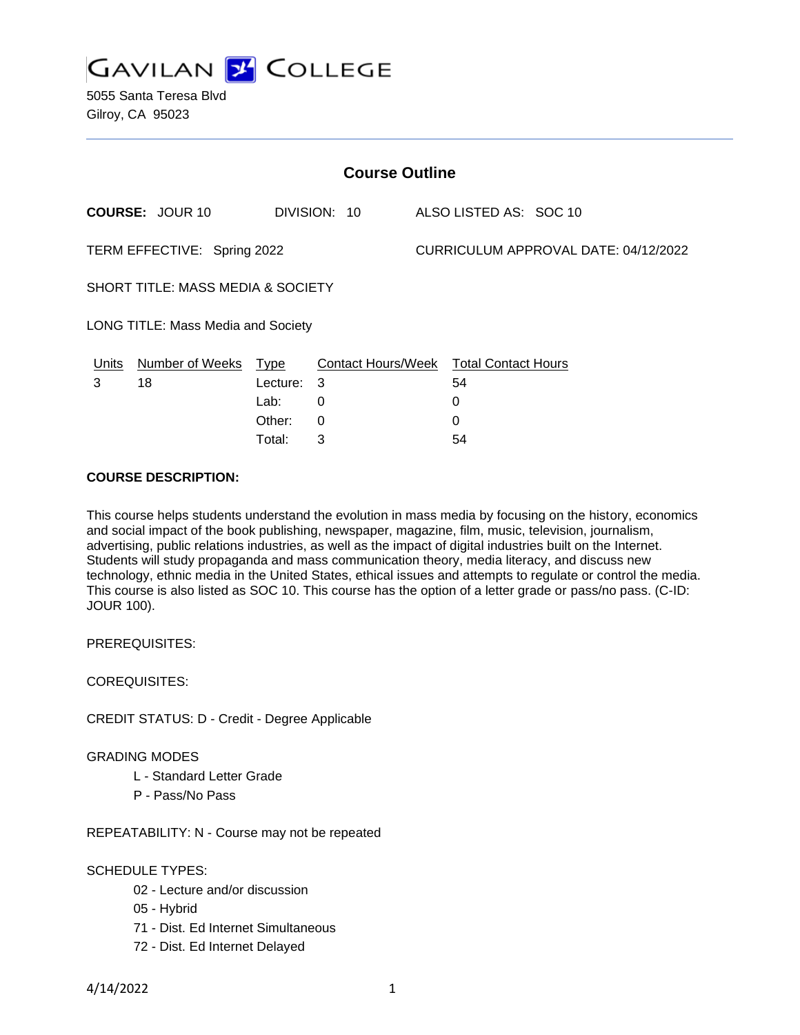

5055 Santa Teresa Blvd Gilroy, CA 95023

| <b>Course Outline</b>              |                        |            |                                        |  |                                      |  |  |
|------------------------------------|------------------------|------------|----------------------------------------|--|--------------------------------------|--|--|
|                                    | <b>COURSE: JOUR 10</b> |            | DIVISION: 10                           |  | ALSO LISTED AS: SOC 10               |  |  |
| TERM EFFECTIVE: Spring 2022        |                        |            |                                        |  | CURRICULUM APPROVAL DATE: 04/12/2022 |  |  |
| SHORT TITLE: MASS MEDIA & SOCIETY  |                        |            |                                        |  |                                      |  |  |
| LONG TITLE: Mass Media and Society |                        |            |                                        |  |                                      |  |  |
| Units                              | Number of Weeks Type   |            | Contact Hours/Week Total Contact Hours |  |                                      |  |  |
| 3                                  | 18                     | Lecture: 3 |                                        |  | 54                                   |  |  |
|                                    |                        | Lab:       | 0                                      |  | 0                                    |  |  |
|                                    |                        | Other:     | $\Omega$                               |  | $\Omega$                             |  |  |
|                                    |                        | Total:     | 3                                      |  | 54                                   |  |  |

## **COURSE DESCRIPTION:**

This course helps students understand the evolution in mass media by focusing on the history, economics and social impact of the book publishing, newspaper, magazine, film, music, television, journalism, advertising, public relations industries, as well as the impact of digital industries built on the Internet. Students will study propaganda and mass communication theory, media literacy, and discuss new technology, ethnic media in the United States, ethical issues and attempts to regulate or control the media. This course is also listed as SOC 10. This course has the option of a letter grade or pass/no pass. (C-ID: JOUR 100).

PREREQUISITES:

COREQUISITES:

CREDIT STATUS: D - Credit - Degree Applicable

GRADING MODES

- L Standard Letter Grade
- P Pass/No Pass

REPEATABILITY: N - Course may not be repeated

## SCHEDULE TYPES:

- 02 Lecture and/or discussion
- 05 Hybrid
- 71 Dist. Ed Internet Simultaneous
- 72 Dist. Ed Internet Delayed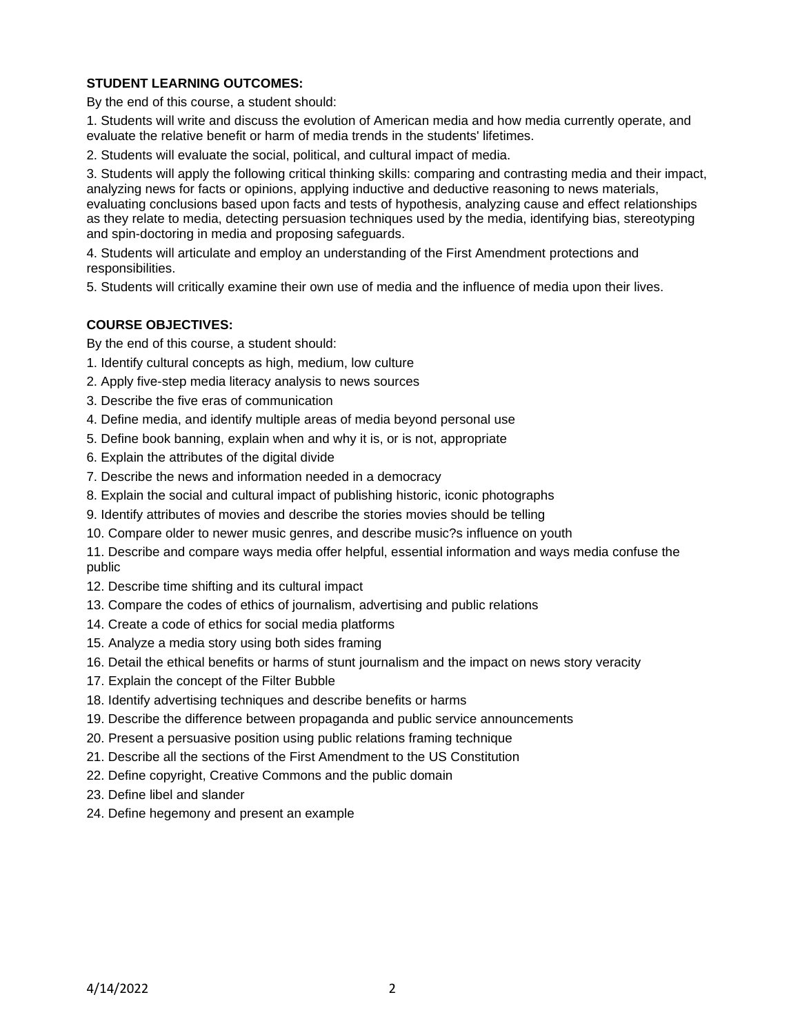# **STUDENT LEARNING OUTCOMES:**

By the end of this course, a student should:

1. Students will write and discuss the evolution of American media and how media currently operate, and evaluate the relative benefit or harm of media trends in the students' lifetimes.

2. Students will evaluate the social, political, and cultural impact of media.

3. Students will apply the following critical thinking skills: comparing and contrasting media and their impact, analyzing news for facts or opinions, applying inductive and deductive reasoning to news materials, evaluating conclusions based upon facts and tests of hypothesis, analyzing cause and effect relationships as they relate to media, detecting persuasion techniques used by the media, identifying bias, stereotyping and spin-doctoring in media and proposing safeguards.

4. Students will articulate and employ an understanding of the First Amendment protections and responsibilities.

5. Students will critically examine their own use of media and the influence of media upon their lives.

# **COURSE OBJECTIVES:**

By the end of this course, a student should:

- 1. Identify cultural concepts as high, medium, low culture
- 2. Apply five-step media literacy analysis to news sources
- 3. Describe the five eras of communication
- 4. Define media, and identify multiple areas of media beyond personal use
- 5. Define book banning, explain when and why it is, or is not, appropriate
- 6. Explain the attributes of the digital divide
- 7. Describe the news and information needed in a democracy
- 8. Explain the social and cultural impact of publishing historic, iconic photographs
- 9. Identify attributes of movies and describe the stories movies should be telling
- 10. Compare older to newer music genres, and describe music?s influence on youth

11. Describe and compare ways media offer helpful, essential information and ways media confuse the public

- 12. Describe time shifting and its cultural impact
- 13. Compare the codes of ethics of journalism, advertising and public relations
- 14. Create a code of ethics for social media platforms
- 15. Analyze a media story using both sides framing
- 16. Detail the ethical benefits or harms of stunt journalism and the impact on news story veracity
- 17. Explain the concept of the Filter Bubble
- 18. Identify advertising techniques and describe benefits or harms
- 19. Describe the difference between propaganda and public service announcements
- 20. Present a persuasive position using public relations framing technique
- 21. Describe all the sections of the First Amendment to the US Constitution
- 22. Define copyright, Creative Commons and the public domain
- 23. Define libel and slander
- 24. Define hegemony and present an example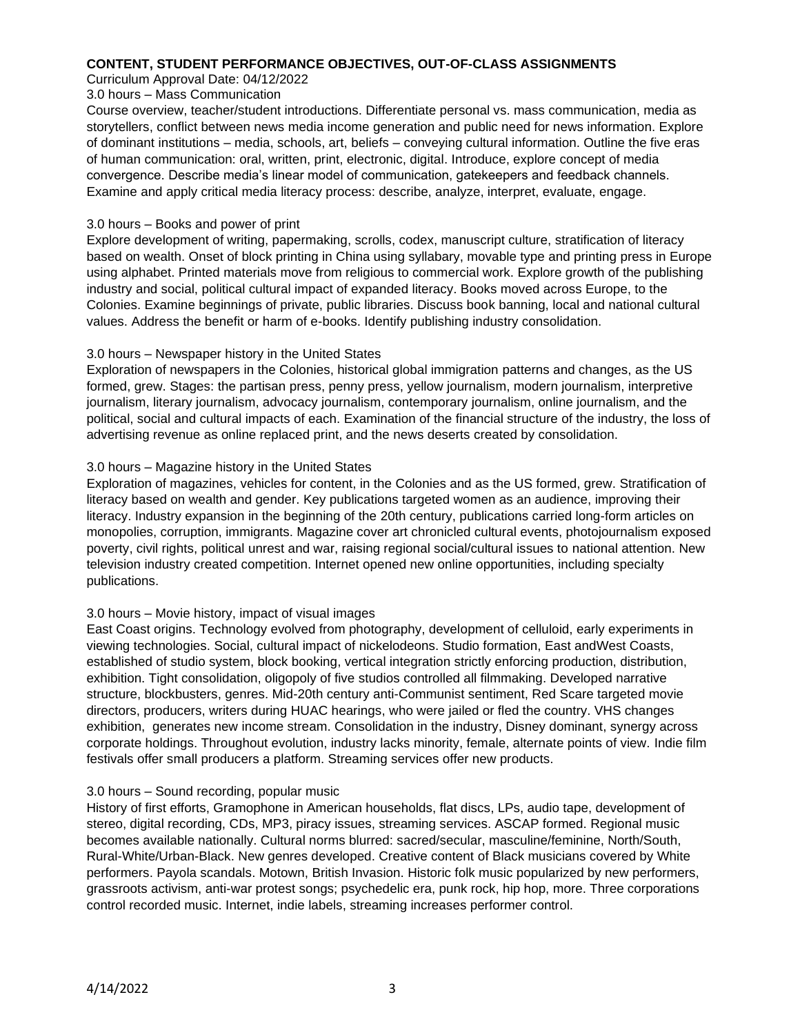## **CONTENT, STUDENT PERFORMANCE OBJECTIVES, OUT-OF-CLASS ASSIGNMENTS**

Curriculum Approval Date: 04/12/2022

## 3.0 hours – Mass Communication

Course overview, teacher/student introductions. Differentiate personal vs. mass communication, media as storytellers, conflict between news media income generation and public need for news information. Explore of dominant institutions – media, schools, art, beliefs – conveying cultural information. Outline the five eras of human communication: oral, written, print, electronic, digital. Introduce, explore concept of media convergence. Describe media's linear model of communication, gatekeepers and feedback channels. Examine and apply critical media literacy process: describe, analyze, interpret, evaluate, engage.

## 3.0 hours – Books and power of print

Explore development of writing, papermaking, scrolls, codex, manuscript culture, stratification of literacy based on wealth. Onset of block printing in China using syllabary, movable type and printing press in Europe using alphabet. Printed materials move from religious to commercial work. Explore growth of the publishing industry and social, political cultural impact of expanded literacy. Books moved across Europe, to the Colonies. Examine beginnings of private, public libraries. Discuss book banning, local and national cultural values. Address the benefit or harm of e-books. Identify publishing industry consolidation.

## 3.0 hours – Newspaper history in the United States

Exploration of newspapers in the Colonies, historical global immigration patterns and changes, as the US formed, grew. Stages: the partisan press, penny press, yellow journalism, modern journalism, interpretive journalism, literary journalism, advocacy journalism, contemporary journalism, online journalism, and the political, social and cultural impacts of each. Examination of the financial structure of the industry, the loss of advertising revenue as online replaced print, and the news deserts created by consolidation.

## 3.0 hours – Magazine history in the United States

Exploration of magazines, vehicles for content, in the Colonies and as the US formed, grew. Stratification of literacy based on wealth and gender. Key publications targeted women as an audience, improving their literacy. Industry expansion in the beginning of the 20th century, publications carried long-form articles on monopolies, corruption, immigrants. Magazine cover art chronicled cultural events, photojournalism exposed poverty, civil rights, political unrest and war, raising regional social/cultural issues to national attention. New television industry created competition. Internet opened new online opportunities, including specialty publications.

## 3.0 hours – Movie history, impact of visual images

East Coast origins. Technology evolved from photography, development of celluloid, early experiments in viewing technologies. Social, cultural impact of nickelodeons. Studio formation, East andWest Coasts, established of studio system, block booking, vertical integration strictly enforcing production, distribution, exhibition. Tight consolidation, oligopoly of five studios controlled all filmmaking. Developed narrative structure, blockbusters, genres. Mid-20th century anti-Communist sentiment, Red Scare targeted movie directors, producers, writers during HUAC hearings, who were jailed or fled the country. VHS changes exhibition, generates new income stream. Consolidation in the industry, Disney dominant, synergy across corporate holdings. Throughout evolution, industry lacks minority, female, alternate points of view. Indie film festivals offer small producers a platform. Streaming services offer new products.

## 3.0 hours – Sound recording, popular music

History of first efforts, Gramophone in American households, flat discs, LPs, audio tape, development of stereo, digital recording, CDs, MP3, piracy issues, streaming services. ASCAP formed. Regional music becomes available nationally. Cultural norms blurred: sacred/secular, masculine/feminine, North/South, Rural-White/Urban-Black. New genres developed. Creative content of Black musicians covered by White performers. Payola scandals. Motown, British Invasion. Historic folk music popularized by new performers, grassroots activism, anti-war protest songs; psychedelic era, punk rock, hip hop, more. Three corporations control recorded music. Internet, indie labels, streaming increases performer control.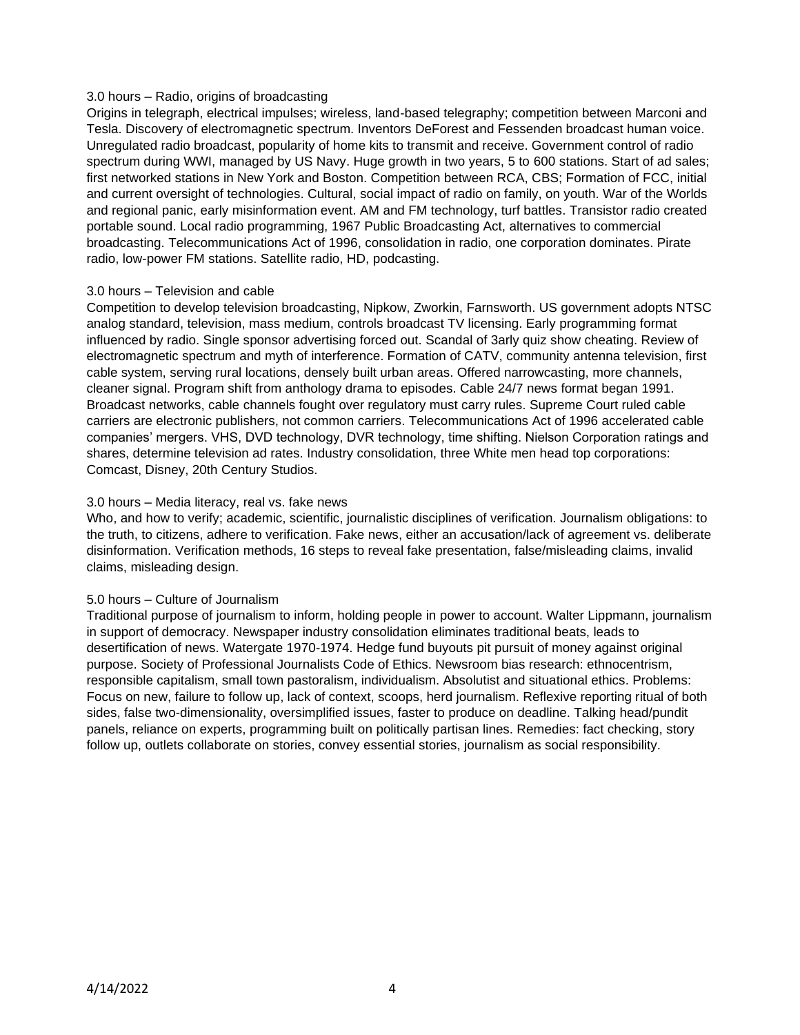### 3.0 hours – Radio, origins of broadcasting

Origins in telegraph, electrical impulses; wireless, land-based telegraphy; competition between Marconi and Tesla. Discovery of electromagnetic spectrum. Inventors DeForest and Fessenden broadcast human voice. Unregulated radio broadcast, popularity of home kits to transmit and receive. Government control of radio spectrum during WWI, managed by US Navy. Huge growth in two years, 5 to 600 stations. Start of ad sales; first networked stations in New York and Boston. Competition between RCA, CBS; Formation of FCC, initial and current oversight of technologies. Cultural, social impact of radio on family, on youth. War of the Worlds and regional panic, early misinformation event. AM and FM technology, turf battles. Transistor radio created portable sound. Local radio programming, 1967 Public Broadcasting Act, alternatives to commercial broadcasting. Telecommunications Act of 1996, consolidation in radio, one corporation dominates. Pirate radio, low-power FM stations. Satellite radio, HD, podcasting.

## 3.0 hours – Television and cable

Competition to develop television broadcasting, Nipkow, Zworkin, Farnsworth. US government adopts NTSC analog standard, television, mass medium, controls broadcast TV licensing. Early programming format influenced by radio. Single sponsor advertising forced out. Scandal of 3arly quiz show cheating. Review of electromagnetic spectrum and myth of interference. Formation of CATV, community antenna television, first cable system, serving rural locations, densely built urban areas. Offered narrowcasting, more channels, cleaner signal. Program shift from anthology drama to episodes. Cable 24/7 news format began 1991. Broadcast networks, cable channels fought over regulatory must carry rules. Supreme Court ruled cable carriers are electronic publishers, not common carriers. Telecommunications Act of 1996 accelerated cable companies' mergers. VHS, DVD technology, DVR technology, time shifting. Nielson Corporation ratings and shares, determine television ad rates. Industry consolidation, three White men head top corporations: Comcast, Disney, 20th Century Studios.

## 3.0 hours – Media literacy, real vs. fake news

Who, and how to verify; academic, scientific, journalistic disciplines of verification. Journalism obligations: to the truth, to citizens, adhere to verification. Fake news, either an accusation/lack of agreement vs. deliberate disinformation. Verification methods, 16 steps to reveal fake presentation, false/misleading claims, invalid claims, misleading design.

#### 5.0 hours – Culture of Journalism

Traditional purpose of journalism to inform, holding people in power to account. Walter Lippmann, journalism in support of democracy. Newspaper industry consolidation eliminates traditional beats, leads to desertification of news. Watergate 1970-1974. Hedge fund buyouts pit pursuit of money against original purpose. Society of Professional Journalists Code of Ethics. Newsroom bias research: ethnocentrism, responsible capitalism, small town pastoralism, individualism. Absolutist and situational ethics. Problems: Focus on new, failure to follow up, lack of context, scoops, herd journalism. Reflexive reporting ritual of both sides, false two-dimensionality, oversimplified issues, faster to produce on deadline. Talking head/pundit panels, reliance on experts, programming built on politically partisan lines. Remedies: fact checking, story follow up, outlets collaborate on stories, convey essential stories, journalism as social responsibility.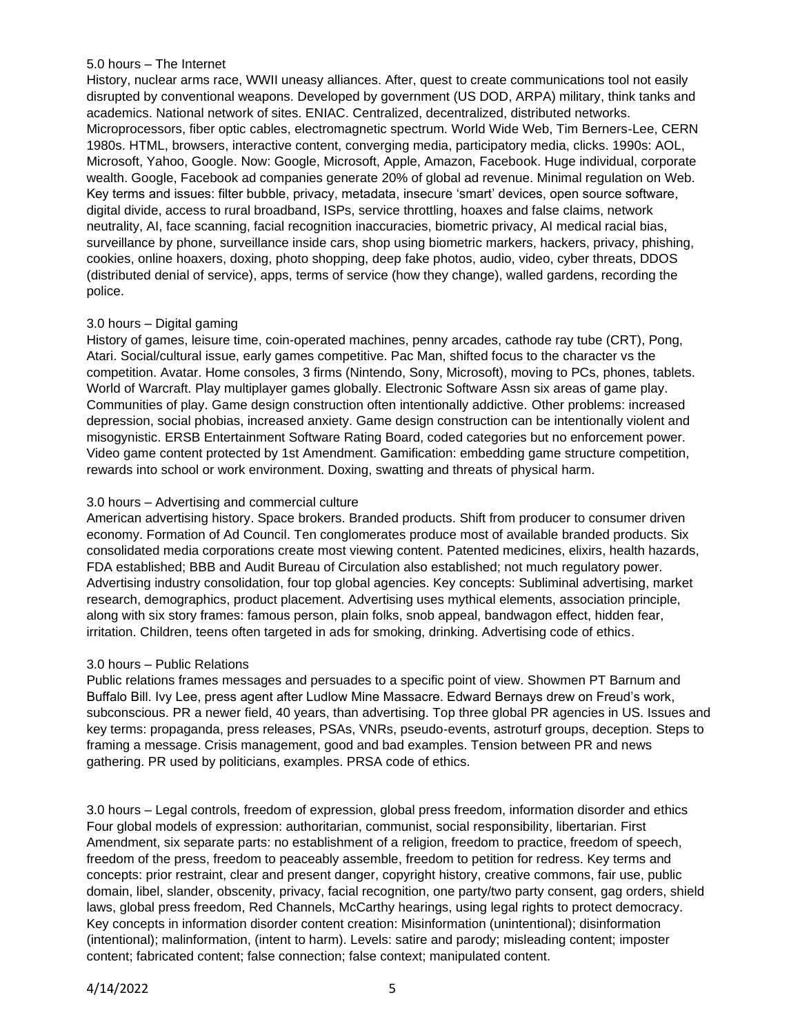## 5.0 hours – The Internet

History, nuclear arms race, WWII uneasy alliances. After, quest to create communications tool not easily disrupted by conventional weapons. Developed by government (US DOD, ARPA) military, think tanks and academics. National network of sites. ENIAC. Centralized, decentralized, distributed networks. Microprocessors, fiber optic cables, electromagnetic spectrum. World Wide Web, Tim Berners-Lee, CERN 1980s. HTML, browsers, interactive content, converging media, participatory media, clicks. 1990s: AOL, Microsoft, Yahoo, Google. Now: Google, Microsoft, Apple, Amazon, Facebook. Huge individual, corporate wealth. Google, Facebook ad companies generate 20% of global ad revenue. Minimal regulation on Web. Key terms and issues: filter bubble, privacy, metadata, insecure 'smart' devices, open source software, digital divide, access to rural broadband, ISPs, service throttling, hoaxes and false claims, network neutrality, AI, face scanning, facial recognition inaccuracies, biometric privacy, AI medical racial bias, surveillance by phone, surveillance inside cars, shop using biometric markers, hackers, privacy, phishing, cookies, online hoaxers, doxing, photo shopping, deep fake photos, audio, video, cyber threats, DDOS (distributed denial of service), apps, terms of service (how they change), walled gardens, recording the police.

## 3.0 hours – Digital gaming

History of games, leisure time, coin-operated machines, penny arcades, cathode ray tube (CRT), Pong, Atari. Social/cultural issue, early games competitive. Pac Man, shifted focus to the character vs the competition. Avatar. Home consoles, 3 firms (Nintendo, Sony, Microsoft), moving to PCs, phones, tablets. World of Warcraft. Play multiplayer games globally. Electronic Software Assn six areas of game play. Communities of play. Game design construction often intentionally addictive. Other problems: increased depression, social phobias, increased anxiety. Game design construction can be intentionally violent and misogynistic. ERSB Entertainment Software Rating Board, coded categories but no enforcement power. Video game content protected by 1st Amendment. Gamification: embedding game structure competition, rewards into school or work environment. Doxing, swatting and threats of physical harm.

## 3.0 hours – Advertising and commercial culture

American advertising history. Space brokers. Branded products. Shift from producer to consumer driven economy. Formation of Ad Council. Ten conglomerates produce most of available branded products. Six consolidated media corporations create most viewing content. Patented medicines, elixirs, health hazards, FDA established; BBB and Audit Bureau of Circulation also established; not much regulatory power. Advertising industry consolidation, four top global agencies. Key concepts: Subliminal advertising, market research, demographics, product placement. Advertising uses mythical elements, association principle, along with six story frames: famous person, plain folks, snob appeal, bandwagon effect, hidden fear, irritation. Children, teens often targeted in ads for smoking, drinking. Advertising code of ethics.

#### 3.0 hours – Public Relations

Public relations frames messages and persuades to a specific point of view. Showmen PT Barnum and Buffalo Bill. Ivy Lee, press agent after Ludlow Mine Massacre. Edward Bernays drew on Freud's work, subconscious. PR a newer field, 40 years, than advertising. Top three global PR agencies in US. Issues and key terms: propaganda, press releases, PSAs, VNRs, pseudo-events, astroturf groups, deception. Steps to framing a message. Crisis management, good and bad examples. Tension between PR and news gathering. PR used by politicians, examples. PRSA code of ethics.

3.0 hours – Legal controls, freedom of expression, global press freedom, information disorder and ethics Four global models of expression: authoritarian, communist, social responsibility, libertarian. First Amendment, six separate parts: no establishment of a religion, freedom to practice, freedom of speech, freedom of the press, freedom to peaceably assemble, freedom to petition for redress. Key terms and concepts: prior restraint, clear and present danger, copyright history, creative commons, fair use, public domain, libel, slander, obscenity, privacy, facial recognition, one party/two party consent, gag orders, shield laws, global press freedom, Red Channels, McCarthy hearings, using legal rights to protect democracy. Key concepts in information disorder content creation: Misinformation (unintentional); disinformation (intentional); malinformation, (intent to harm). Levels: satire and parody; misleading content; imposter content; fabricated content; false connection; false context; manipulated content.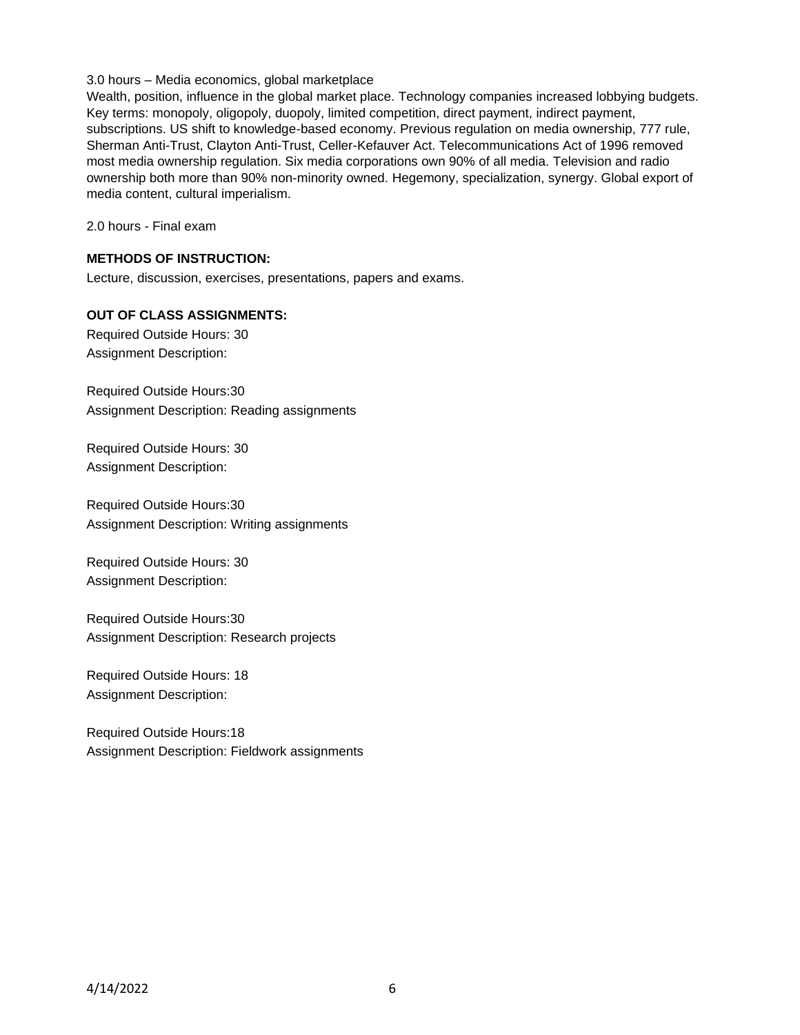## 3.0 hours – Media economics, global marketplace

Wealth, position, influence in the global market place. Technology companies increased lobbying budgets. Key terms: monopoly, oligopoly, duopoly, limited competition, direct payment, indirect payment, subscriptions. US shift to knowledge-based economy. Previous regulation on media ownership, 777 rule, Sherman Anti-Trust, Clayton Anti-Trust, Celler-Kefauver Act. Telecommunications Act of 1996 removed most media ownership regulation. Six media corporations own 90% of all media. Television and radio ownership both more than 90% non-minority owned. Hegemony, specialization, synergy. Global export of media content, cultural imperialism.

2.0 hours - Final exam

## **METHODS OF INSTRUCTION:**

Lecture, discussion, exercises, presentations, papers and exams.

## **OUT OF CLASS ASSIGNMENTS:**

Required Outside Hours: 30 Assignment Description:

Required Outside Hours:30 Assignment Description: Reading assignments

Required Outside Hours: 30 Assignment Description:

Required Outside Hours:30 Assignment Description: Writing assignments

Required Outside Hours: 30 Assignment Description:

Required Outside Hours:30 Assignment Description: Research projects

Required Outside Hours: 18 Assignment Description:

Required Outside Hours:18 Assignment Description: Fieldwork assignments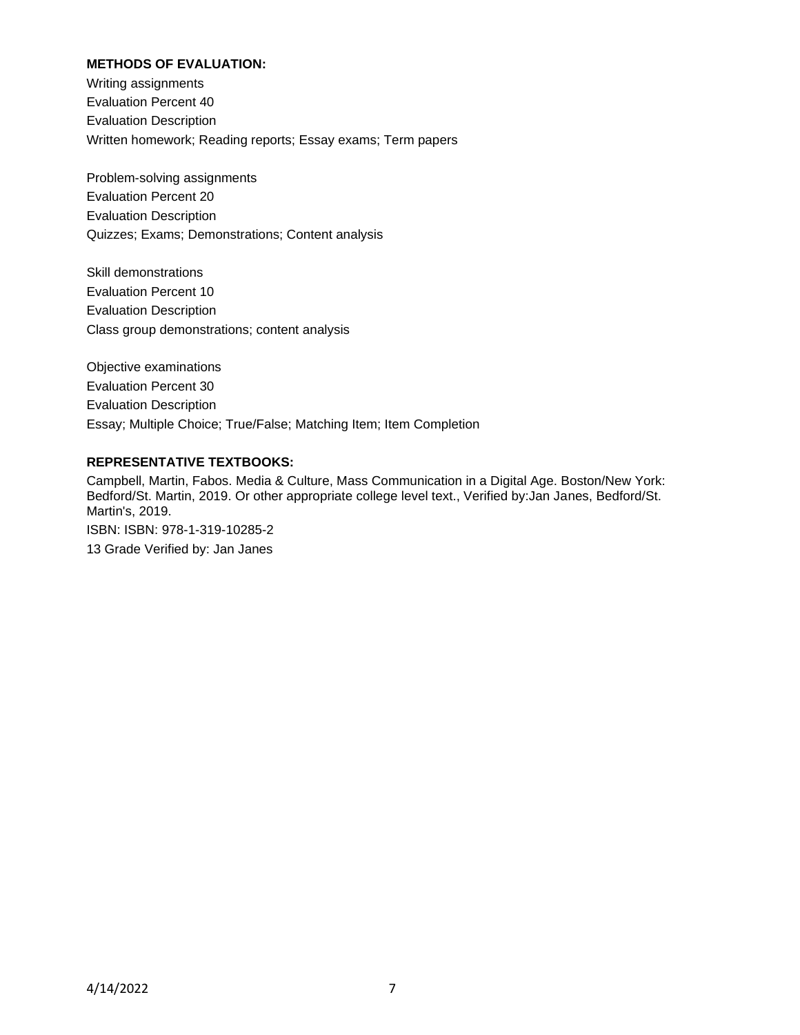## **METHODS OF EVALUATION:**

Writing assignments Evaluation Percent 40 Evaluation Description Written homework; Reading reports; Essay exams; Term papers

Problem-solving assignments Evaluation Percent 20 Evaluation Description Quizzes; Exams; Demonstrations; Content analysis

Skill demonstrations Evaluation Percent 10 Evaluation Description Class group demonstrations; content analysis

Objective examinations Evaluation Percent 30 Evaluation Description Essay; Multiple Choice; True/False; Matching Item; Item Completion

## **REPRESENTATIVE TEXTBOOKS:**

Campbell, Martin, Fabos. Media & Culture, Mass Communication in a Digital Age. Boston/New York: Bedford/St. Martin, 2019. Or other appropriate college level text., Verified by:Jan Janes, Bedford/St. Martin's, 2019. ISBN: ISBN: 978-1-319-10285-2 13 Grade Verified by: Jan Janes